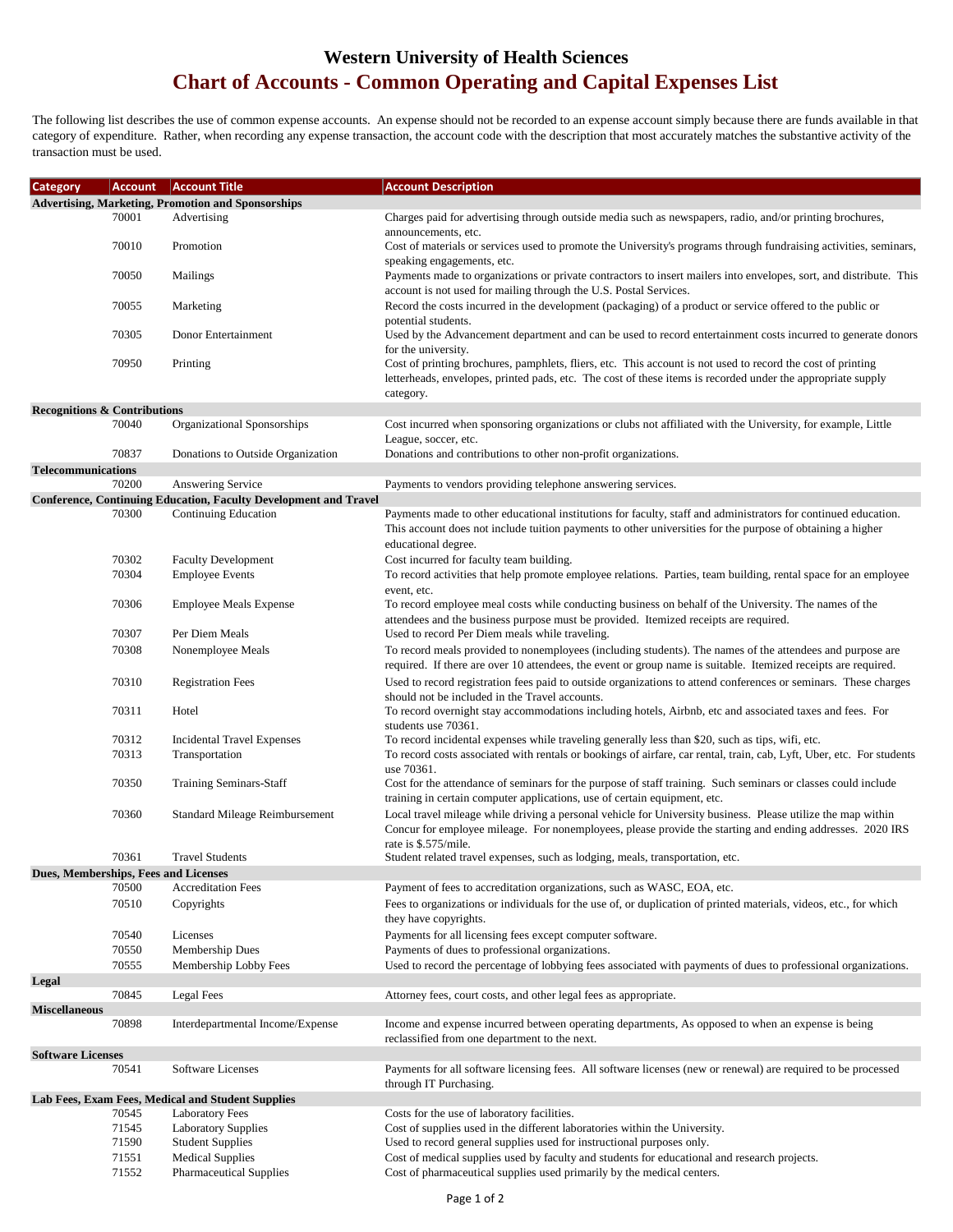## **Western University of Health Sciences Chart of Accounts - Common Operating and Capital Expenses List**

The following list describes the use of common expense accounts. An expense should not be recorded to an expense account simply because there are funds available in that category of expenditure. Rather, when recording any expense transaction, the account code with the description that most accurately matches the substantive activity of the transaction must be used.

| <b>Category</b>                         | <b>Account</b>                                            | <b>Account Title</b>                                                    | <b>Account Description</b>                                                                                                                                                                                                |  |  |
|-----------------------------------------|-----------------------------------------------------------|-------------------------------------------------------------------------|---------------------------------------------------------------------------------------------------------------------------------------------------------------------------------------------------------------------------|--|--|
|                                         | <b>Advertising, Marketing, Promotion and Sponsorships</b> |                                                                         |                                                                                                                                                                                                                           |  |  |
|                                         | 70001                                                     | Advertising                                                             | Charges paid for advertising through outside media such as newspapers, radio, and/or printing brochures,                                                                                                                  |  |  |
|                                         |                                                           |                                                                         | announcements, etc.                                                                                                                                                                                                       |  |  |
|                                         | 70010                                                     | Promotion                                                               | Cost of materials or services used to promote the University's programs through fundraising activities, seminars,                                                                                                         |  |  |
|                                         |                                                           |                                                                         | speaking engagements, etc.                                                                                                                                                                                                |  |  |
|                                         | 70050                                                     | Mailings                                                                | Payments made to organizations or private contractors to insert mailers into envelopes, sort, and distribute. This                                                                                                        |  |  |
|                                         |                                                           |                                                                         | account is not used for mailing through the U.S. Postal Services.                                                                                                                                                         |  |  |
|                                         | 70055                                                     | Marketing                                                               | Record the costs incurred in the development (packaging) of a product or service offered to the public or                                                                                                                 |  |  |
|                                         |                                                           |                                                                         | potential students.                                                                                                                                                                                                       |  |  |
|                                         | 70305                                                     | Donor Entertainment                                                     | Used by the Advancement department and can be used to record entertainment costs incurred to generate donors                                                                                                              |  |  |
|                                         |                                                           |                                                                         | for the university.                                                                                                                                                                                                       |  |  |
|                                         | 70950                                                     | Printing                                                                | Cost of printing brochures, pamphlets, fliers, etc. This account is not used to record the cost of printing                                                                                                               |  |  |
|                                         |                                                           |                                                                         | letterheads, envelopes, printed pads, etc. The cost of these items is recorded under the appropriate supply                                                                                                               |  |  |
|                                         |                                                           |                                                                         | category.                                                                                                                                                                                                                 |  |  |
| <b>Recognitions &amp; Contributions</b> | 70040                                                     | Organizational Sponsorships                                             | Cost incurred when sponsoring organizations or clubs not affiliated with the University, for example, Little                                                                                                              |  |  |
|                                         |                                                           |                                                                         | League, soccer, etc.                                                                                                                                                                                                      |  |  |
|                                         | 70837                                                     | Donations to Outside Organization                                       | Donations and contributions to other non-profit organizations.                                                                                                                                                            |  |  |
| <b>Telecommunications</b>               |                                                           |                                                                         |                                                                                                                                                                                                                           |  |  |
|                                         | 70200                                                     | Answering Service                                                       | Payments to vendors providing telephone answering services.                                                                                                                                                               |  |  |
|                                         |                                                           | <b>Conference, Continuing Education, Faculty Development and Travel</b> |                                                                                                                                                                                                                           |  |  |
|                                         | 70300                                                     | Continuing Education                                                    | Payments made to other educational institutions for faculty, staff and administrators for continued education.                                                                                                            |  |  |
|                                         |                                                           |                                                                         | This account does not include tuition payments to other universities for the purpose of obtaining a higher                                                                                                                |  |  |
|                                         |                                                           |                                                                         | educational degree.                                                                                                                                                                                                       |  |  |
|                                         | 70302                                                     | <b>Faculty Development</b>                                              | Cost incurred for faculty team building.                                                                                                                                                                                  |  |  |
|                                         | 70304                                                     | <b>Employee Events</b>                                                  | To record activities that help promote employee relations. Parties, team building, rental space for an employee                                                                                                           |  |  |
|                                         |                                                           |                                                                         | event, etc.                                                                                                                                                                                                               |  |  |
|                                         | 70306                                                     | <b>Employee Meals Expense</b>                                           | To record employee meal costs while conducting business on behalf of the University. The names of the                                                                                                                     |  |  |
|                                         |                                                           |                                                                         | attendees and the business purpose must be provided. Itemized receipts are required.                                                                                                                                      |  |  |
|                                         | 70307                                                     | Per Diem Meals                                                          | Used to record Per Diem meals while traveling.                                                                                                                                                                            |  |  |
|                                         | 70308                                                     | Nonemployee Meals                                                       | To record meals provided to nonemployees (including students). The names of the attendees and purpose are                                                                                                                 |  |  |
|                                         |                                                           |                                                                         | required. If there are over 10 attendees, the event or group name is suitable. Itemized receipts are required.                                                                                                            |  |  |
|                                         | 70310                                                     | <b>Registration Fees</b>                                                | Used to record registration fees paid to outside organizations to attend conferences or seminars. These charges                                                                                                           |  |  |
|                                         |                                                           |                                                                         | should not be included in the Travel accounts.                                                                                                                                                                            |  |  |
|                                         | 70311                                                     | Hotel                                                                   | To record overnight stay accommodations including hotels, Airbnb, etc and associated taxes and fees. For                                                                                                                  |  |  |
|                                         |                                                           |                                                                         | students use 70361.                                                                                                                                                                                                       |  |  |
|                                         | 70312                                                     | <b>Incidental Travel Expenses</b>                                       | To record incidental expenses while traveling generally less than \$20, such as tips, wifi, etc.                                                                                                                          |  |  |
|                                         | 70313                                                     | Transportation                                                          | To record costs associated with rentals or bookings of airfare, car rental, train, cab, Lyft, Uber, etc. For students                                                                                                     |  |  |
|                                         |                                                           |                                                                         | use 70361.                                                                                                                                                                                                                |  |  |
|                                         | 70350                                                     | Training Seminars-Staff                                                 | Cost for the attendance of seminars for the purpose of staff training. Such seminars or classes could include<br>training in certain computer applications, use of certain equipment, etc.                                |  |  |
|                                         |                                                           |                                                                         |                                                                                                                                                                                                                           |  |  |
|                                         | 70360                                                     | Standard Mileage Reimbursement                                          | Local travel mileage while driving a personal vehicle for University business. Please utilize the map within<br>Concur for employee mileage. For nonemployees, please provide the starting and ending addresses. 2020 IRS |  |  |
|                                         |                                                           |                                                                         | rate is \$.575/mile.                                                                                                                                                                                                      |  |  |
|                                         | 70361                                                     | <b>Travel Students</b>                                                  | Student related travel expenses, such as lodging, meals, transportation, etc.                                                                                                                                             |  |  |
|                                         |                                                           | Dues, Memberships, Fees and Licenses                                    |                                                                                                                                                                                                                           |  |  |
|                                         | 70500                                                     | <b>Accreditation Fees</b>                                               | Payment of fees to accreditation organizations, such as WASC, EOA, etc.                                                                                                                                                   |  |  |
|                                         | 70510                                                     | Copyrights                                                              | Fees to organizations or individuals for the use of, or duplication of printed materials, videos, etc., for which                                                                                                         |  |  |
|                                         |                                                           |                                                                         | they have copyrights.                                                                                                                                                                                                     |  |  |
|                                         | 70540                                                     | Licenses                                                                | Payments for all licensing fees except computer software.                                                                                                                                                                 |  |  |
|                                         | 70550                                                     | Membership Dues                                                         | Payments of dues to professional organizations.                                                                                                                                                                           |  |  |
|                                         | 70555                                                     | Membership Lobby Fees                                                   | Used to record the percentage of lobbying fees associated with payments of dues to professional organizations.                                                                                                            |  |  |
| Legal                                   |                                                           |                                                                         |                                                                                                                                                                                                                           |  |  |
|                                         | 70845                                                     | Legal Fees                                                              | Attorney fees, court costs, and other legal fees as appropriate.                                                                                                                                                          |  |  |
| <b>Miscellaneous</b>                    |                                                           |                                                                         |                                                                                                                                                                                                                           |  |  |
|                                         | 70898                                                     | Interdepartmental Income/Expense                                        | Income and expense incurred between operating departments, As opposed to when an expense is being                                                                                                                         |  |  |
|                                         |                                                           |                                                                         | reclassified from one department to the next.                                                                                                                                                                             |  |  |
| <b>Software Licenses</b>                |                                                           |                                                                         |                                                                                                                                                                                                                           |  |  |
|                                         | 70541                                                     | Software Licenses                                                       | Payments for all software licensing fees. All software licenses (new or renewal) are required to be processed                                                                                                             |  |  |
|                                         |                                                           |                                                                         | through IT Purchasing.                                                                                                                                                                                                    |  |  |
|                                         |                                                           | Lab Fees, Exam Fees, Medical and Student Supplies                       |                                                                                                                                                                                                                           |  |  |
|                                         | 70545<br>71545                                            | <b>Laboratory Fees</b>                                                  | Costs for the use of laboratory facilities.<br>Cost of supplies used in the different laboratories within the University.                                                                                                 |  |  |
|                                         | 71590                                                     | <b>Laboratory Supplies</b><br><b>Student Supplies</b>                   | Used to record general supplies used for instructional purposes only.                                                                                                                                                     |  |  |
|                                         | 71551                                                     | <b>Medical Supplies</b>                                                 | Cost of medical supplies used by faculty and students for educational and research projects.                                                                                                                              |  |  |
|                                         | 71552                                                     | <b>Pharmaceutical Supplies</b>                                          | Cost of pharmaceutical supplies used primarily by the medical centers.                                                                                                                                                    |  |  |
|                                         |                                                           |                                                                         |                                                                                                                                                                                                                           |  |  |